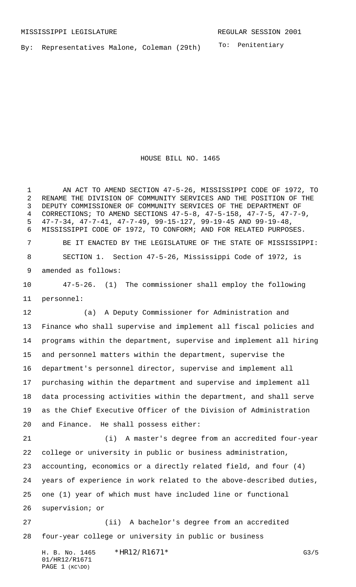PAGE 1 (KC\DO)

To: Penitentiary By: Representatives Malone, Coleman (29th)

HOUSE BILL NO. 1465

H. B. No. 1465 \*HR12/R1671\* G3/5 01/HR12/R1671 AN ACT TO AMEND SECTION 47-5-26, MISSISSIPPI CODE OF 1972, TO RENAME THE DIVISION OF COMMUNITY SERVICES AND THE POSITION OF THE DEPUTY COMMISSIONER OF COMMUNITY SERVICES OF THE DEPARTMENT OF CORRECTIONS; TO AMEND SECTIONS 47-5-8, 47-5-158, 47-7-5, 47-7-9, 47-7-34, 47-7-41, 47-7-49, 99-15-127, 99-19-45 AND 99-19-48, MISSISSIPPI CODE OF 1972, TO CONFORM; AND FOR RELATED PURPOSES. BE IT ENACTED BY THE LEGISLATURE OF THE STATE OF MISSISSIPPI: SECTION 1. Section 47-5-26, Mississippi Code of 1972, is amended as follows: 47-5-26. (1) The commissioner shall employ the following personnel: (a) A Deputy Commissioner for Administration and Finance who shall supervise and implement all fiscal policies and programs within the department, supervise and implement all hiring and personnel matters within the department, supervise the department's personnel director, supervise and implement all purchasing within the department and supervise and implement all data processing activities within the department, and shall serve as the Chief Executive Officer of the Division of Administration and Finance. He shall possess either: (i) A master's degree from an accredited four-year college or university in public or business administration, accounting, economics or a directly related field, and four (4) years of experience in work related to the above-described duties, one (1) year of which must have included line or functional supervision; or (ii) A bachelor's degree from an accredited four-year college or university in public or business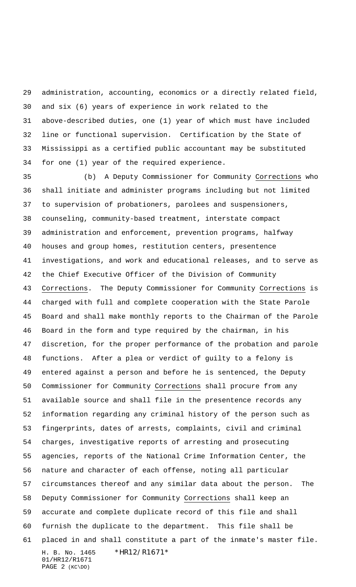administration, accounting, economics or a directly related field, and six (6) years of experience in work related to the above-described duties, one (1) year of which must have included line or functional supervision. Certification by the State of Mississippi as a certified public accountant may be substituted for one (1) year of the required experience.

H. B. No. 1465 \*HR12/R1671\* 01/HR12/R1671 PAGE 2 (KC\DO) (b) A Deputy Commissioner for Community Corrections who shall initiate and administer programs including but not limited to supervision of probationers, parolees and suspensioners, counseling, community-based treatment, interstate compact administration and enforcement, prevention programs, halfway houses and group homes, restitution centers, presentence investigations, and work and educational releases, and to serve as the Chief Executive Officer of the Division of Community Corrections. The Deputy Commissioner for Community Corrections is charged with full and complete cooperation with the State Parole Board and shall make monthly reports to the Chairman of the Parole Board in the form and type required by the chairman, in his discretion, for the proper performance of the probation and parole functions. After a plea or verdict of guilty to a felony is entered against a person and before he is sentenced, the Deputy Commissioner for Community Corrections shall procure from any available source and shall file in the presentence records any information regarding any criminal history of the person such as fingerprints, dates of arrests, complaints, civil and criminal charges, investigative reports of arresting and prosecuting agencies, reports of the National Crime Information Center, the nature and character of each offense, noting all particular circumstances thereof and any similar data about the person. The Deputy Commissioner for Community Corrections shall keep an accurate and complete duplicate record of this file and shall furnish the duplicate to the department. This file shall be placed in and shall constitute a part of the inmate's master file.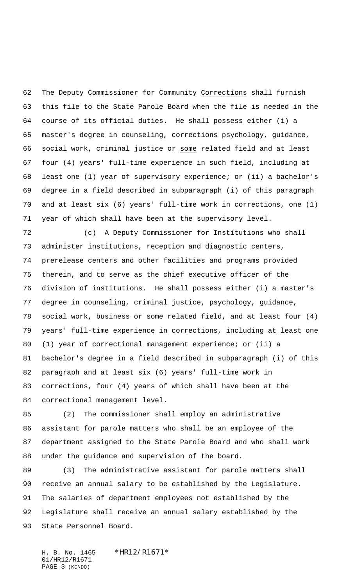The Deputy Commissioner for Community Corrections shall furnish this file to the State Parole Board when the file is needed in the course of its official duties. He shall possess either (i) a master's degree in counseling, corrections psychology, guidance, social work, criminal justice or some related field and at least four (4) years' full-time experience in such field, including at least one (1) year of supervisory experience; or (ii) a bachelor's degree in a field described in subparagraph (i) of this paragraph and at least six (6) years' full-time work in corrections, one (1) year of which shall have been at the supervisory level.

 (c) A Deputy Commissioner for Institutions who shall administer institutions, reception and diagnostic centers, prerelease centers and other facilities and programs provided therein, and to serve as the chief executive officer of the division of institutions. He shall possess either (i) a master's degree in counseling, criminal justice, psychology, guidance, social work, business or some related field, and at least four (4) years' full-time experience in corrections, including at least one (1) year of correctional management experience; or (ii) a bachelor's degree in a field described in subparagraph (i) of this paragraph and at least six (6) years' full-time work in corrections, four (4) years of which shall have been at the correctional management level.

 (2) The commissioner shall employ an administrative assistant for parole matters who shall be an employee of the department assigned to the State Parole Board and who shall work under the guidance and supervision of the board.

 (3) The administrative assistant for parole matters shall receive an annual salary to be established by the Legislature. The salaries of department employees not established by the Legislature shall receive an annual salary established by the State Personnel Board.

H. B. No. 1465 \*HR12/R1671\* 01/HR12/R1671 PAGE 3 (KC\DO)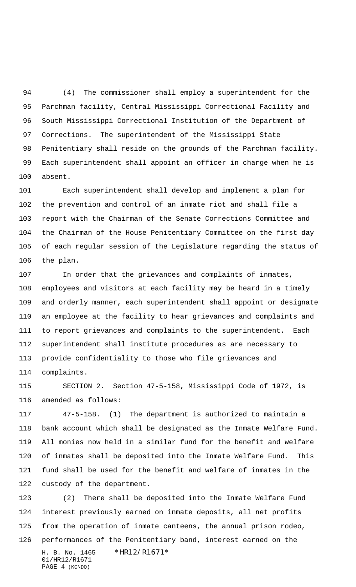(4) The commissioner shall employ a superintendent for the Parchman facility, Central Mississippi Correctional Facility and South Mississippi Correctional Institution of the Department of Corrections. The superintendent of the Mississippi State Penitentiary shall reside on the grounds of the Parchman facility. Each superintendent shall appoint an officer in charge when he is absent.

 Each superintendent shall develop and implement a plan for the prevention and control of an inmate riot and shall file a report with the Chairman of the Senate Corrections Committee and the Chairman of the House Penitentiary Committee on the first day of each regular session of the Legislature regarding the status of the plan.

 In order that the grievances and complaints of inmates, employees and visitors at each facility may be heard in a timely and orderly manner, each superintendent shall appoint or designate an employee at the facility to hear grievances and complaints and to report grievances and complaints to the superintendent. Each superintendent shall institute procedures as are necessary to provide confidentiality to those who file grievances and complaints.

 SECTION 2. Section 47-5-158, Mississippi Code of 1972, is amended as follows:

 47-5-158. (1) The department is authorized to maintain a bank account which shall be designated as the Inmate Welfare Fund. All monies now held in a similar fund for the benefit and welfare of inmates shall be deposited into the Inmate Welfare Fund. This fund shall be used for the benefit and welfare of inmates in the custody of the department.

H. B. No. 1465 \*HR12/R1671\* 01/HR12/R1671 PAGE 4 (KC\DO) (2) There shall be deposited into the Inmate Welfare Fund interest previously earned on inmate deposits, all net profits from the operation of inmate canteens, the annual prison rodeo, performances of the Penitentiary band, interest earned on the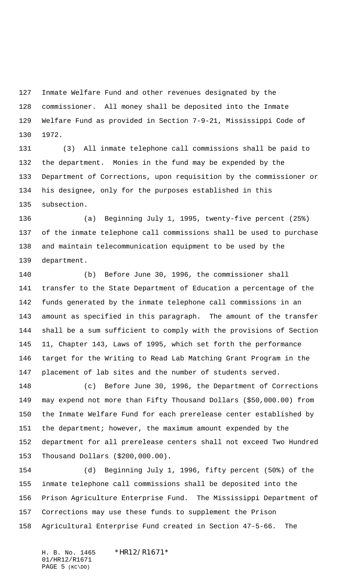Inmate Welfare Fund and other revenues designated by the commissioner. All money shall be deposited into the Inmate Welfare Fund as provided in Section 7-9-21, Mississippi Code of 1972.

 (3) All inmate telephone call commissions shall be paid to the department. Monies in the fund may be expended by the Department of Corrections, upon requisition by the commissioner or his designee, only for the purposes established in this subsection.

 (a) Beginning July 1, 1995, twenty-five percent (25%) of the inmate telephone call commissions shall be used to purchase and maintain telecommunication equipment to be used by the department.

 (b) Before June 30, 1996, the commissioner shall transfer to the State Department of Education a percentage of the funds generated by the inmate telephone call commissions in an amount as specified in this paragraph. The amount of the transfer shall be a sum sufficient to comply with the provisions of Section 11, Chapter 143, Laws of 1995, which set forth the performance target for the Writing to Read Lab Matching Grant Program in the placement of lab sites and the number of students served.

 (c) Before June 30, 1996, the Department of Corrections may expend not more than Fifty Thousand Dollars (\$50,000.00) from the Inmate Welfare Fund for each prerelease center established by the department; however, the maximum amount expended by the department for all prerelease centers shall not exceed Two Hundred Thousand Dollars (\$200,000.00).

 (d) Beginning July 1, 1996, fifty percent (50%) of the inmate telephone call commissions shall be deposited into the Prison Agriculture Enterprise Fund. The Mississippi Department of Corrections may use these funds to supplement the Prison Agricultural Enterprise Fund created in Section 47-5-66. The

H. B. No. 1465 \*HR12/R1671\* 01/HR12/R1671 PAGE 5 (KC\DO)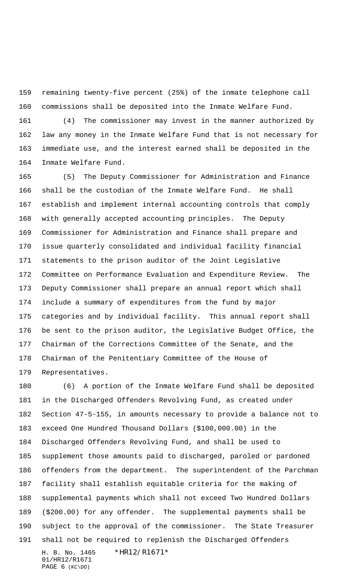remaining twenty-five percent (25%) of the inmate telephone call commissions shall be deposited into the Inmate Welfare Fund.

 (4) The commissioner may invest in the manner authorized by law any money in the Inmate Welfare Fund that is not necessary for immediate use, and the interest earned shall be deposited in the Inmate Welfare Fund.

 (5) The Deputy Commissioner for Administration and Finance shall be the custodian of the Inmate Welfare Fund. He shall establish and implement internal accounting controls that comply with generally accepted accounting principles. The Deputy Commissioner for Administration and Finance shall prepare and issue quarterly consolidated and individual facility financial statements to the prison auditor of the Joint Legislative Committee on Performance Evaluation and Expenditure Review. The Deputy Commissioner shall prepare an annual report which shall include a summary of expenditures from the fund by major categories and by individual facility. This annual report shall be sent to the prison auditor, the Legislative Budget Office, the Chairman of the Corrections Committee of the Senate, and the Chairman of the Penitentiary Committee of the House of Representatives.

H. B. No. 1465 \*HR12/R1671\* 01/HR12/R1671 (6) A portion of the Inmate Welfare Fund shall be deposited in the Discharged Offenders Revolving Fund, as created under Section 47-5-155, in amounts necessary to provide a balance not to exceed One Hundred Thousand Dollars (\$100,000.00) in the Discharged Offenders Revolving Fund, and shall be used to supplement those amounts paid to discharged, paroled or pardoned offenders from the department. The superintendent of the Parchman facility shall establish equitable criteria for the making of supplemental payments which shall not exceed Two Hundred Dollars (\$200.00) for any offender. The supplemental payments shall be subject to the approval of the commissioner. The State Treasurer shall not be required to replenish the Discharged Offenders

```
PAGE 6 (KC\DO)
```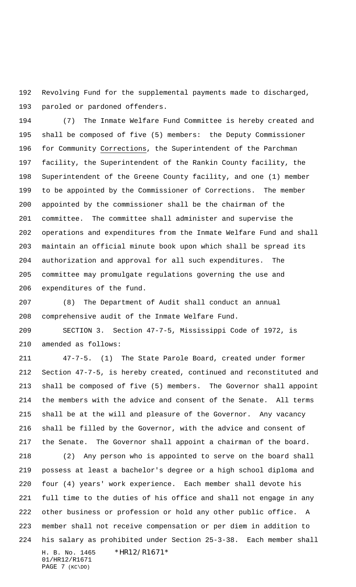Revolving Fund for the supplemental payments made to discharged, paroled or pardoned offenders.

 (7) The Inmate Welfare Fund Committee is hereby created and shall be composed of five (5) members: the Deputy Commissioner for Community Corrections, the Superintendent of the Parchman facility, the Superintendent of the Rankin County facility, the Superintendent of the Greene County facility, and one (1) member to be appointed by the Commissioner of Corrections. The member appointed by the commissioner shall be the chairman of the committee. The committee shall administer and supervise the operations and expenditures from the Inmate Welfare Fund and shall maintain an official minute book upon which shall be spread its authorization and approval for all such expenditures. The committee may promulgate regulations governing the use and expenditures of the fund.

 (8) The Department of Audit shall conduct an annual comprehensive audit of the Inmate Welfare Fund.

 SECTION 3. Section 47-7-5, Mississippi Code of 1972, is amended as follows:

 47-7-5. (1) The State Parole Board, created under former Section 47-7-5, is hereby created, continued and reconstituted and shall be composed of five (5) members. The Governor shall appoint the members with the advice and consent of the Senate. All terms shall be at the will and pleasure of the Governor. Any vacancy shall be filled by the Governor, with the advice and consent of the Senate. The Governor shall appoint a chairman of the board.

H. B. No. 1465 \*HR12/R1671\* (2) Any person who is appointed to serve on the board shall possess at least a bachelor's degree or a high school diploma and four (4) years' work experience. Each member shall devote his full time to the duties of his office and shall not engage in any other business or profession or hold any other public office. A member shall not receive compensation or per diem in addition to his salary as prohibited under Section 25-3-38. Each member shall

01/HR12/R1671 PAGE 7 (KC\DO)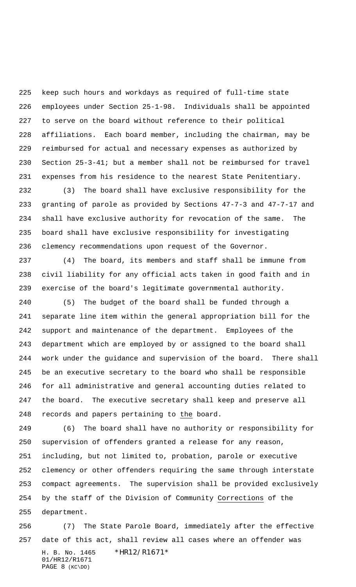keep such hours and workdays as required of full-time state employees under Section 25-1-98. Individuals shall be appointed to serve on the board without reference to their political affiliations. Each board member, including the chairman, may be reimbursed for actual and necessary expenses as authorized by Section 25-3-41; but a member shall not be reimbursed for travel expenses from his residence to the nearest State Penitentiary.

 (3) The board shall have exclusive responsibility for the granting of parole as provided by Sections 47-7-3 and 47-7-17 and shall have exclusive authority for revocation of the same. The board shall have exclusive responsibility for investigating clemency recommendations upon request of the Governor.

 (4) The board, its members and staff shall be immune from civil liability for any official acts taken in good faith and in exercise of the board's legitimate governmental authority.

 (5) The budget of the board shall be funded through a separate line item within the general appropriation bill for the support and maintenance of the department. Employees of the department which are employed by or assigned to the board shall work under the guidance and supervision of the board. There shall be an executive secretary to the board who shall be responsible for all administrative and general accounting duties related to the board. The executive secretary shall keep and preserve all records and papers pertaining to the board.

 (6) The board shall have no authority or responsibility for supervision of offenders granted a release for any reason, including, but not limited to, probation, parole or executive clemency or other offenders requiring the same through interstate compact agreements. The supervision shall be provided exclusively by the staff of the Division of Community Corrections of the department.

H. B. No. 1465 \*HR12/R1671\* 01/HR12/R1671 PAGE 8 (KC\DO) (7) The State Parole Board, immediately after the effective date of this act, shall review all cases where an offender was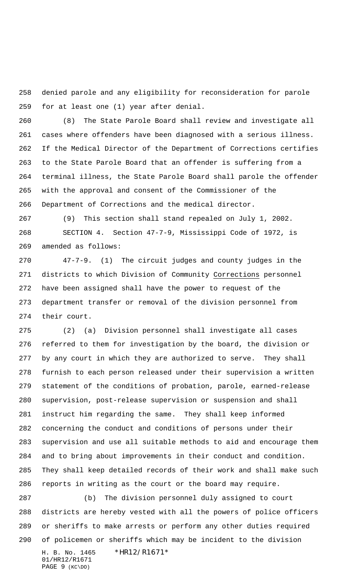denied parole and any eligibility for reconsideration for parole for at least one (1) year after denial.

 (8) The State Parole Board shall review and investigate all cases where offenders have been diagnosed with a serious illness. If the Medical Director of the Department of Corrections certifies to the State Parole Board that an offender is suffering from a terminal illness, the State Parole Board shall parole the offender with the approval and consent of the Commissioner of the Department of Corrections and the medical director.

 (9) This section shall stand repealed on July 1, 2002. SECTION 4. Section 47-7-9, Mississippi Code of 1972, is amended as follows:

 47-7-9. (1) The circuit judges and county judges in the districts to which Division of Community Corrections personnel have been assigned shall have the power to request of the department transfer or removal of the division personnel from their court.

 (2) (a) Division personnel shall investigate all cases referred to them for investigation by the board, the division or by any court in which they are authorized to serve. They shall furnish to each person released under their supervision a written statement of the conditions of probation, parole, earned-release supervision, post-release supervision or suspension and shall instruct him regarding the same. They shall keep informed concerning the conduct and conditions of persons under their supervision and use all suitable methods to aid and encourage them and to bring about improvements in their conduct and condition. They shall keep detailed records of their work and shall make such reports in writing as the court or the board may require.

H. B. No. 1465 \*HR12/R1671\* 01/HR12/R1671 (b) The division personnel duly assigned to court districts are hereby vested with all the powers of police officers or sheriffs to make arrests or perform any other duties required of policemen or sheriffs which may be incident to the division

PAGE 9 (KC\DO)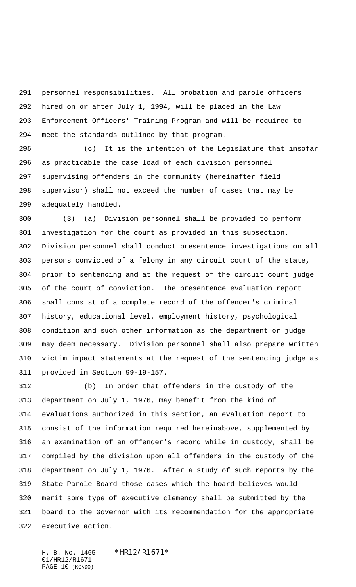personnel responsibilities. All probation and parole officers hired on or after July 1, 1994, will be placed in the Law Enforcement Officers' Training Program and will be required to meet the standards outlined by that program.

 (c) It is the intention of the Legislature that insofar as practicable the case load of each division personnel supervising offenders in the community (hereinafter field supervisor) shall not exceed the number of cases that may be adequately handled.

 (3) (a) Division personnel shall be provided to perform investigation for the court as provided in this subsection. Division personnel shall conduct presentence investigations on all persons convicted of a felony in any circuit court of the state, prior to sentencing and at the request of the circuit court judge of the court of conviction. The presentence evaluation report shall consist of a complete record of the offender's criminal history, educational level, employment history, psychological condition and such other information as the department or judge may deem necessary. Division personnel shall also prepare written victim impact statements at the request of the sentencing judge as provided in Section 99-19-157.

 (b) In order that offenders in the custody of the department on July 1, 1976, may benefit from the kind of evaluations authorized in this section, an evaluation report to consist of the information required hereinabove, supplemented by an examination of an offender's record while in custody, shall be compiled by the division upon all offenders in the custody of the department on July 1, 1976. After a study of such reports by the State Parole Board those cases which the board believes would merit some type of executive clemency shall be submitted by the board to the Governor with its recommendation for the appropriate executive action.

H. B. No. 1465 \* HR12/R1671\* 01/HR12/R1671 PAGE 10 (KC\DO)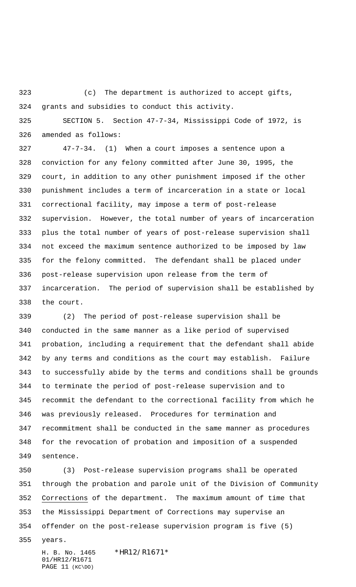(c) The department is authorized to accept gifts, grants and subsidies to conduct this activity.

 SECTION 5. Section 47-7-34, Mississippi Code of 1972, is amended as follows:

 47-7-34. (1) When a court imposes a sentence upon a conviction for any felony committed after June 30, 1995, the court, in addition to any other punishment imposed if the other punishment includes a term of incarceration in a state or local correctional facility, may impose a term of post-release supervision. However, the total number of years of incarceration plus the total number of years of post-release supervision shall not exceed the maximum sentence authorized to be imposed by law for the felony committed. The defendant shall be placed under post-release supervision upon release from the term of incarceration. The period of supervision shall be established by the court.

 (2) The period of post-release supervision shall be conducted in the same manner as a like period of supervised probation, including a requirement that the defendant shall abide by any terms and conditions as the court may establish. Failure to successfully abide by the terms and conditions shall be grounds to terminate the period of post-release supervision and to recommit the defendant to the correctional facility from which he was previously released. Procedures for termination and recommitment shall be conducted in the same manner as procedures for the revocation of probation and imposition of a suspended sentence.

 (3) Post-release supervision programs shall be operated through the probation and parole unit of the Division of Community Corrections of the department. The maximum amount of time that the Mississippi Department of Corrections may supervise an offender on the post-release supervision program is five (5)

years.

H. B. No. 1465 \* HR12/R1671\* 01/HR12/R1671 PAGE 11 (KC\DO)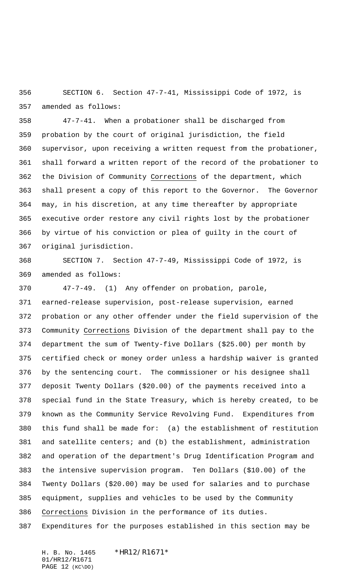SECTION 6. Section 47-7-41, Mississippi Code of 1972, is amended as follows:

 47-7-41. When a probationer shall be discharged from probation by the court of original jurisdiction, the field supervisor, upon receiving a written request from the probationer, shall forward a written report of the record of the probationer to the Division of Community Corrections of the department, which shall present a copy of this report to the Governor. The Governor may, in his discretion, at any time thereafter by appropriate executive order restore any civil rights lost by the probationer by virtue of his conviction or plea of guilty in the court of original jurisdiction.

 SECTION 7. Section 47-7-49, Mississippi Code of 1972, is amended as follows:

 47-7-49. (1) Any offender on probation, parole, earned-release supervision, post-release supervision, earned probation or any other offender under the field supervision of the Community Corrections Division of the department shall pay to the department the sum of Twenty-five Dollars (\$25.00) per month by certified check or money order unless a hardship waiver is granted by the sentencing court. The commissioner or his designee shall deposit Twenty Dollars (\$20.00) of the payments received into a special fund in the State Treasury, which is hereby created, to be known as the Community Service Revolving Fund. Expenditures from this fund shall be made for: (a) the establishment of restitution and satellite centers; and (b) the establishment, administration and operation of the department's Drug Identification Program and the intensive supervision program. Ten Dollars (\$10.00) of the Twenty Dollars (\$20.00) may be used for salaries and to purchase equipment, supplies and vehicles to be used by the Community Corrections Division in the performance of its duties.

Expenditures for the purposes established in this section may be

H. B. No. 1465 \*HR12/R1671\* 01/HR12/R1671 PAGE 12 (KC\DO)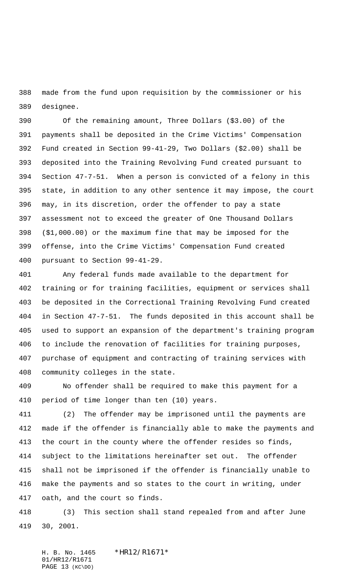made from the fund upon requisition by the commissioner or his designee.

 Of the remaining amount, Three Dollars (\$3.00) of the payments shall be deposited in the Crime Victims' Compensation Fund created in Section 99-41-29, Two Dollars (\$2.00) shall be deposited into the Training Revolving Fund created pursuant to Section 47-7-51. When a person is convicted of a felony in this state, in addition to any other sentence it may impose, the court may, in its discretion, order the offender to pay a state assessment not to exceed the greater of One Thousand Dollars (\$1,000.00) or the maximum fine that may be imposed for the offense, into the Crime Victims' Compensation Fund created pursuant to Section 99-41-29.

 Any federal funds made available to the department for training or for training facilities, equipment or services shall be deposited in the Correctional Training Revolving Fund created in Section 47-7-51. The funds deposited in this account shall be used to support an expansion of the department's training program to include the renovation of facilities for training purposes, purchase of equipment and contracting of training services with community colleges in the state.

 No offender shall be required to make this payment for a period of time longer than ten (10) years.

 (2) The offender may be imprisoned until the payments are made if the offender is financially able to make the payments and the court in the county where the offender resides so finds, subject to the limitations hereinafter set out. The offender shall not be imprisoned if the offender is financially unable to make the payments and so states to the court in writing, under oath, and the court so finds.

 (3) This section shall stand repealed from and after June 30, 2001.

H. B. No. 1465 \*HR12/R1671\* 01/HR12/R1671 PAGE 13 (KC\DO)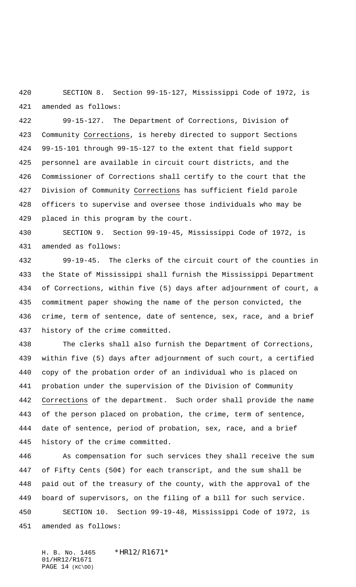SECTION 8. Section 99-15-127, Mississippi Code of 1972, is amended as follows:

 99-15-127. The Department of Corrections, Division of Community Corrections, is hereby directed to support Sections 99-15-101 through 99-15-127 to the extent that field support personnel are available in circuit court districts, and the Commissioner of Corrections shall certify to the court that the Division of Community Corrections has sufficient field parole officers to supervise and oversee those individuals who may be placed in this program by the court.

 SECTION 9. Section 99-19-45, Mississippi Code of 1972, is amended as follows:

 99-19-45. The clerks of the circuit court of the counties in the State of Mississippi shall furnish the Mississippi Department of Corrections, within five (5) days after adjournment of court, a commitment paper showing the name of the person convicted, the crime, term of sentence, date of sentence, sex, race, and a brief history of the crime committed.

 The clerks shall also furnish the Department of Corrections, within five (5) days after adjournment of such court, a certified copy of the probation order of an individual who is placed on probation under the supervision of the Division of Community Corrections of the department. Such order shall provide the name of the person placed on probation, the crime, term of sentence, date of sentence, period of probation, sex, race, and a brief history of the crime committed.

 As compensation for such services they shall receive the sum of Fifty Cents (50¢) for each transcript, and the sum shall be paid out of the treasury of the county, with the approval of the board of supervisors, on the filing of a bill for such service. SECTION 10. Section 99-19-48, Mississippi Code of 1972, is amended as follows:

H. B. No. 1465 \*HR12/R1671\* 01/HR12/R1671 PAGE 14 (KC\DO)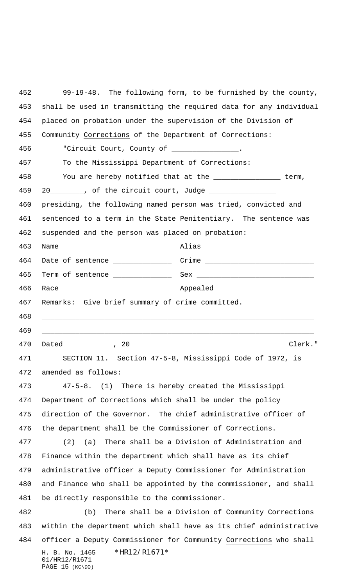H. B. No. 1465 \*HR12/R1671\* 01/HR12/R1671 PAGE 15 (KC\DO) 99-19-48. The following form, to be furnished by the county, shall be used in transmitting the required data for any individual placed on probation under the supervision of the Division of Community Corrections of the Department of Corrections: 456 "Circuit Court, County of \_\_\_\_ To the Mississippi Department of Corrections: You are hereby notified that at the \_\_\_\_\_\_\_\_\_\_\_\_\_\_\_\_ term, 20\_\_\_\_\_\_\_\_, of the circuit court, Judge \_\_\_\_\_\_\_\_\_\_\_\_\_\_\_\_ presiding, the following named person was tried, convicted and sentenced to a term in the State Penitentiary. The sentence was suspended and the person was placed on probation: Name \_\_\_\_\_\_\_\_\_\_\_\_\_\_\_\_\_\_\_\_\_\_\_\_\_\_ Alias \_\_\_\_\_\_\_\_\_\_\_\_\_\_\_\_\_\_\_\_\_\_\_\_\_\_ 464 Date of sentence \_\_\_\_\_\_\_\_\_\_\_\_\_\_\_\_\_ Crime \_\_\_\_\_\_\_\_\_\_\_\_\_\_\_\_\_\_\_\_\_\_\_\_\_\_\_\_\_\_\_\_\_\_\_ Term of sentence \_\_\_\_\_\_\_\_\_\_\_\_\_\_ Sex \_\_\_\_\_\_\_\_\_\_\_\_\_\_\_\_\_\_\_\_\_\_\_\_\_\_\_\_ 466 Race \_\_\_\_\_\_\_\_\_\_\_\_\_\_\_\_\_\_\_\_\_\_\_\_\_\_\_\_\_\_\_\_\_\_\_ Appealed \_ 467 Remarks: Give brief summary of crime committed. \_\_ \_\_\_\_\_\_\_\_\_\_\_\_\_\_\_\_\_\_\_\_\_\_\_\_\_\_\_\_\_\_\_\_\_\_\_\_\_\_\_\_\_\_\_\_\_\_\_\_\_\_\_\_\_\_\_\_\_\_\_\_\_\_\_\_\_ \_\_\_\_\_\_\_\_\_\_\_\_\_\_\_\_\_\_\_\_\_\_\_\_\_\_\_\_\_\_\_\_\_\_\_\_\_\_\_\_\_\_\_\_\_\_\_\_\_\_\_\_\_\_\_\_\_\_\_\_\_\_\_\_\_ Dated \_\_\_\_\_\_\_\_\_\_\_, 20\_\_\_\_\_ \_\_\_\_\_\_\_\_\_\_\_\_\_\_\_\_\_\_\_\_\_\_\_\_\_\_ Clerk." SECTION 11. Section 47-5-8, Mississippi Code of 1972, is amended as follows: 47-5-8. (1) There is hereby created the Mississippi Department of Corrections which shall be under the policy direction of the Governor. The chief administrative officer of the department shall be the Commissioner of Corrections. (2) (a) There shall be a Division of Administration and Finance within the department which shall have as its chief administrative officer a Deputy Commissioner for Administration and Finance who shall be appointed by the commissioner, and shall be directly responsible to the commissioner. (b) There shall be a Division of Community Corrections within the department which shall have as its chief administrative officer a Deputy Commissioner for Community Corrections who shall